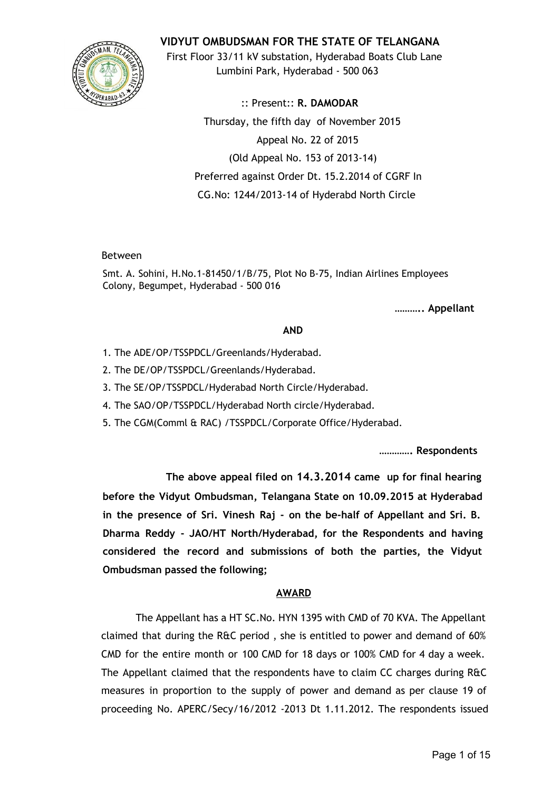

**VIDYUT OMBUDSMAN FOR THE STATE OF TELANGANA**

First Floor 33/11 kV substation, Hyderabad Boats Club Lane Lumbini Park, Hyderabad - 500 063

> :: Present:: **R. DAMODAR** Thursday, the fifth day of November 2015 Appeal No. 22 of 2015 (Old Appeal No. 153 of 2013-14) Preferred against Order Dt. 15.2.2014 of CGRF In CG.No: 1244/2013-14 of Hyderabd North Circle

### Between

Smt. A. Sohini, H.No.1-81450/1/B/75, Plot No B-75, Indian Airlines Employees Colony, Begumpet, Hyderabad - 500 016

**……….. Appellant**

# **AND**

- 1. The ADE/OP/TSSPDCL/Greenlands/Hyderabad.
- 2. The DE/OP/TSSPDCL/Greenlands/Hyderabad.
- 3. The SE/OP/TSSPDCL/Hyderabad North Circle/Hyderabad.
- 4. The SAO/OP/TSSPDCL/Hyderabad North circle/Hyderabad.
- 5. The CGM(Comml & RAC) /TSSPDCL/Corporate Office/Hyderabad.

**…………. Respondents**

**The above appeal filed on 14.3.2014 came up for final hearing before the Vidyut Ombudsman, Telangana State on 10.09.2015 at Hyderabad in the presence of Sri. Vinesh Raj - on the be-half of Appellant and Sri. B. Dharma Reddy - JAO/HT North/Hyderabad, for the Respondents and having considered the record and submissions of both the parties, the Vidyut Ombudsman passed the following;**

# **AWARD**

The Appellant has a HT SC.No. HYN 1395 with CMD of 70 KVA. The Appellant claimed that during the R&C period , she is entitled to power and demand of 60% CMD for the entire month or 100 CMD for 18 days or 100% CMD for 4 day a week. The Appellant claimed that the respondents have to claim CC charges during R&C measures in proportion to the supply of power and demand as per clause 19 of proceeding No. APERC/Secy/16/2012 -2013 Dt 1.11.2012. The respondents issued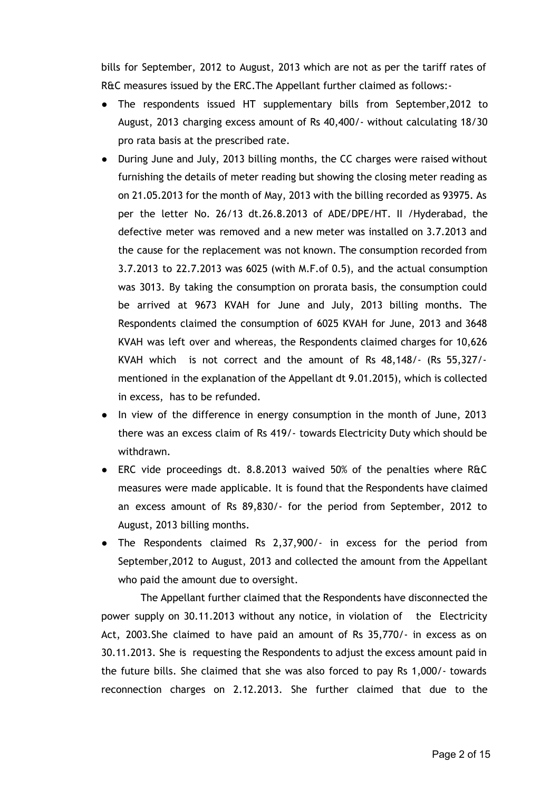bills for September, 2012 to August, 2013 which are not as per the tariff rates of R&C measures issued by the ERC.The Appellant further claimed as follows:-

- The respondents issued HT supplementary bills from September,2012 to August, 2013 charging excess amount of Rs 40,400/- without calculating 18/30 pro rata basis at the prescribed rate.
- During June and July, 2013 billing months, the CC charges were raised without furnishing the details of meter reading but showing the closing meter reading as on 21.05.2013 for the month of May, 2013 with the billing recorded as 93975. As per the letter No. 26/13 dt.26.8.2013 of ADE/DPE/HT. II /Hyderabad, the defective meter was removed and a new meter was installed on 3.7.2013 and the cause for the replacement was not known. The consumption recorded from 3.7.2013 to 22.7.2013 was 6025 (with M.F.of 0.5), and the actual consumption was 3013. By taking the consumption on prorata basis, the consumption could be arrived at 9673 KVAH for June and July, 2013 billing months. The Respondents claimed the consumption of 6025 KVAH for June, 2013 and 3648 KVAH was left over and whereas, the Respondents claimed charges for 10,626 KVAH which is not correct and the amount of Rs 48,148/- (Rs 55,327/ mentioned in the explanation of the Appellant dt 9.01.2015), which is collected in excess, has to be refunded.
- In view of the difference in energy consumption in the month of June, 2013 there was an excess claim of Rs 419/- towards Electricity Duty which should be withdrawn.
- ERC vide proceedings dt. 8.8.2013 waived 50% of the penalties where R&C measures were made applicable. It is found that the Respondents have claimed an excess amount of Rs 89,830/- for the period from September, 2012 to August, 2013 billing months.
- The Respondents claimed Rs 2,37,900/- in excess for the period from September,2012 to August, 2013 and collected the amount from the Appellant who paid the amount due to oversight.

The Appellant further claimed that the Respondents have disconnected the power supply on 30.11.2013 without any notice, in violation of the Electricity Act, 2003.She claimed to have paid an amount of Rs 35,770/- in excess as on 30.11.2013. She is requesting the Respondents to adjust the excess amount paid in the future bills. She claimed that she was also forced to pay Rs 1,000/- towards reconnection charges on 2.12.2013. She further claimed that due to the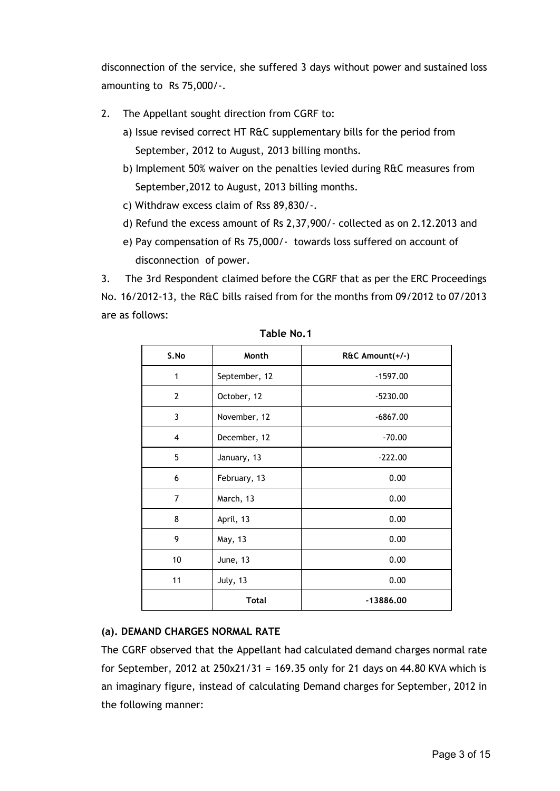disconnection of the service, she suffered 3 days without power and sustained loss amounting to Rs 75,000/-.

- 2. The Appellant sought direction from CGRF to:
	- a) Issue revised correct HT R&C supplementary bills for the period from September, 2012 to August, 2013 billing months.
	- b) Implement 50% waiver on the penalties levied during R&C measures from September,2012 to August, 2013 billing months.
	- c) Withdraw excess claim of Rss 89,830/-.
	- d) Refund the excess amount of Rs 2,37,900/- collected as on 2.12.2013 and
	- e) Pay compensation of Rs 75,000/- towards loss suffered on account of disconnection of power.

3. The 3rd Respondent claimed before the CGRF that as per the ERC Proceedings No. 16/2012-13, the R&C bills raised from for the months from 09/2012 to 07/2013 are as follows:

| S.No           | Month            | R&C Amount(+/-) |  |  |
|----------------|------------------|-----------------|--|--|
| 1              | September, 12    | $-1597.00$      |  |  |
| $\overline{2}$ | October, 12      | $-5230.00$      |  |  |
| 3              | November, 12     | $-6867.00$      |  |  |
| 4              | December, 12     | $-70.00$        |  |  |
| 5              | January, 13      | $-222.00$       |  |  |
| 6              | February, 13     | 0.00            |  |  |
| $\overline{7}$ | March, 13        | 0.00            |  |  |
| 8              | April, 13        | 0.00            |  |  |
| 9              | May, 13          | 0.00            |  |  |
| 10             | June, 13         | 0.00            |  |  |
| 11             | <b>July</b> , 13 | 0.00            |  |  |
|                | <b>Total</b>     | $-13886.00$     |  |  |

# **Table No.1**

# **(a). DEMAND CHARGES NORMAL RATE**

The CGRF observed that the Appellant had calculated demand charges normal rate for September, 2012 at 250x21/31 = 169.35 only for 21 days on 44.80 KVA which is an imaginary figure, instead of calculating Demand charges for September, 2012 in the following manner: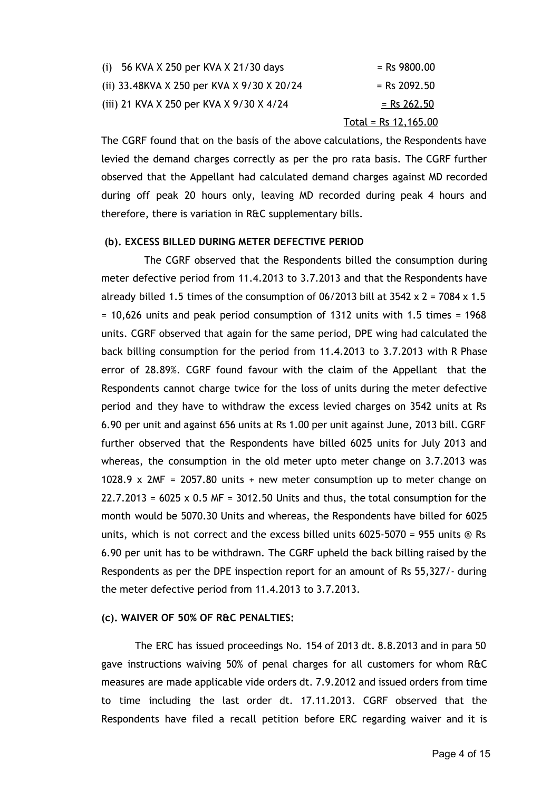| (i) 56 KVA $X$ 250 per KVA $X$ 21/30 days  | $=$ Rs 9800.00         |
|--------------------------------------------|------------------------|
| (ii) 33.48KVA X 250 per KVA X 9/30 X 20/24 | $=$ Rs 2092.50         |
| (iii) 21 KVA X 250 per KVA X 9/30 X 4/24   | $=$ Rs 262.50          |
|                                            | $Total = Rs 12,165.00$ |

The CGRF found that on the basis of the above calculations, the Respondents have levied the demand charges correctly as per the pro rata basis. The CGRF further observed that the Appellant had calculated demand charges against MD recorded during off peak 20 hours only, leaving MD recorded during peak 4 hours and therefore, there is variation in R&C supplementary bills.

#### **(b). EXCESS BILLED DURING METER DEFECTIVE PERIOD**

The CGRF observed that the Respondents billed the consumption during meter defective period from 11.4.2013 to 3.7.2013 and that the Respondents have already billed 1.5 times of the consumption of  $06/2013$  bill at  $3542 \times 2 = 7084 \times 1.5$  $= 10,626$  units and peak period consumption of 1312 units with 1.5 times  $= 1968$ units. CGRF observed that again for the same period, DPE wing had calculated the back billing consumption for the period from 11.4.2013 to 3.7.2013 with R Phase error of 28.89%. CGRF found favour with the claim of the Appellant that the Respondents cannot charge twice for the loss of units during the meter defective period and they have to withdraw the excess levied charges on 3542 units at Rs 6.90 per unit and against 656 units at Rs 1.00 per unit against June, 2013 bill. CGRF further observed that the Respondents have billed 6025 units for July 2013 and whereas, the consumption in the old meter upto meter change on 3.7.2013 was 1028.9 x 2MF = 2057.80 units + new meter consumption up to meter change on 22.7.2013 =  $6025 \times 0.5$  MF = 3012.50 Units and thus, the total consumption for the month would be 5070.30 Units and whereas, the Respondents have billed for 6025 units, which is not correct and the excess billed units 6025-5070 = 955 units  $\odot$  Rs 6.90 per unit has to be withdrawn. The CGRF upheld the back billing raised by the Respondents as per the DPE inspection report for an amount of Rs 55,327/- during the meter defective period from 11.4.2013 to 3.7.2013.

#### **(c). WAIVER OF 50% OF R&C PENALTIES:**

The ERC has issued proceedings No. 154 of 2013 dt. 8.8.2013 and in para 50 gave instructions waiving 50% of penal charges for all customers for whom R&C measures are made applicable vide orders dt. 7.9.2012 and issued orders from time to time including the last order dt. 17.11.2013. CGRF observed that the Respondents have filed a recall petition before ERC regarding waiver and it is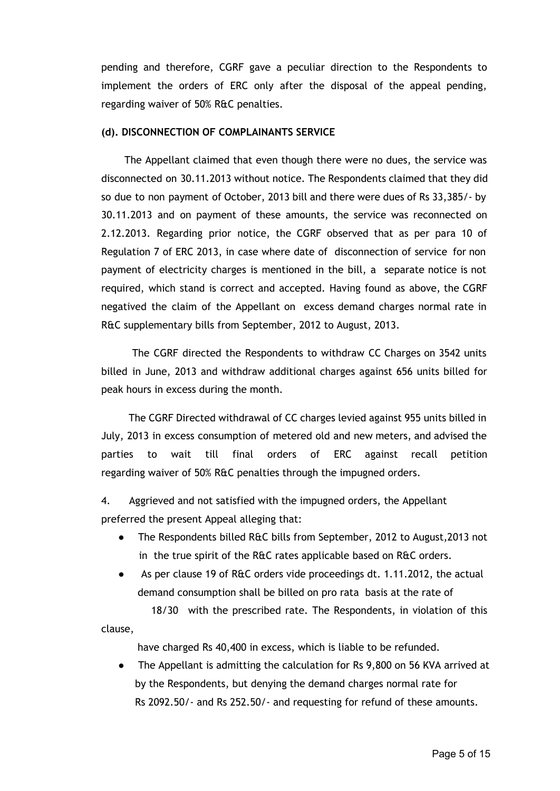pending and therefore, CGRF gave a peculiar direction to the Respondents to implement the orders of ERC only after the disposal of the appeal pending, regarding waiver of 50% R&C penalties.

# **(d). DISCONNECTION OF COMPLAINANTS SERVICE**

The Appellant claimed that even though there were no dues, the service was disconnected on 30.11.2013 without notice. The Respondents claimed that they did so due to non payment of October, 2013 bill and there were dues of Rs 33,385/- by 30.11.2013 and on payment of these amounts, the service was reconnected on 2.12.2013. Regarding prior notice, the CGRF observed that as per para 10 of Regulation 7 of ERC 2013, in case where date of disconnection of service for non payment of electricity charges is mentioned in the bill, a separate notice is not required, which stand is correct and accepted. Having found as above, the CGRF negatived the claim of the Appellant on excess demand charges normal rate in R&C supplementary bills from September, 2012 to August, 2013.

The CGRF directed the Respondents to withdraw CC Charges on 3542 units billed in June, 2013 and withdraw additional charges against 656 units billed for peak hours in excess during the month.

The CGRF Directed withdrawal of CC charges levied against 955 units billed in July, 2013 in excess consumption of metered old and new meters, and advised the parties to wait till final orders of ERC against recall petition regarding waiver of 50% R&C penalties through the impugned orders.

4. Aggrieved and not satisfied with the impugned orders, the Appellant preferred the present Appeal alleging that:

- The Respondents billed R&C bills from September, 2012 to August, 2013 not in the true spirit of the R&C rates applicable based on R&C orders.
- As per clause 19 of R&C orders vide proceedings dt. 1.11.2012, the actual demand consumption shall be billed on pro rata basis at the rate of

18/30 with the prescribed rate. The Respondents, in violation of this clause,

have charged Rs 40,400 in excess, which is liable to be refunded.

● The Appellant is admitting the calculation for Rs 9,800 on 56 KVA arrived at by the Respondents, but denying the demand charges normal rate for Rs 2092.50/- and Rs 252.50/- and requesting for refund of these amounts.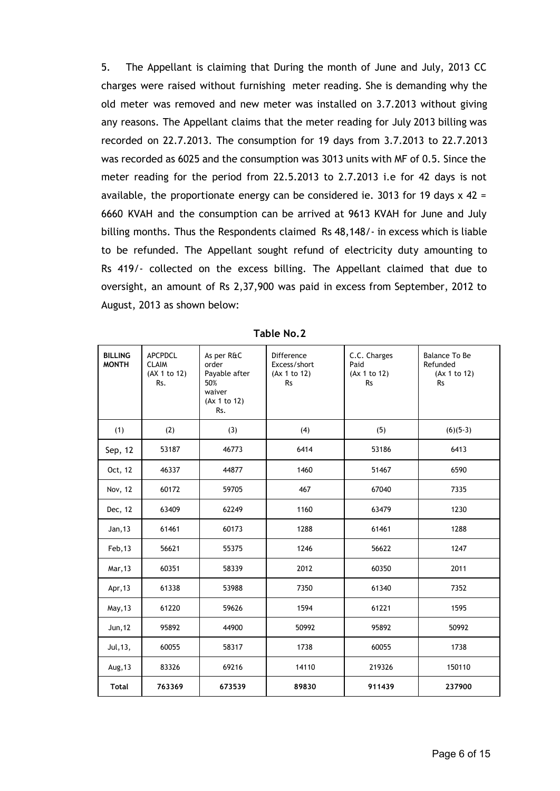5. The Appellant is claiming that During the month of June and July, 2013 CC charges were raised without furnishing meter reading. She is demanding why the old meter was removed and new meter was installed on 3.7.2013 without giving any reasons. The Appellant claims that the meter reading for July 2013 billing was recorded on 22.7.2013. The consumption for 19 days from 3.7.2013 to 22.7.2013 was recorded as 6025 and the consumption was 3013 units with MF of 0.5. Since the meter reading for the period from 22.5.2013 to 2.7.2013 i.e for 42 days is not available, the proportionate energy can be considered ie. 3013 for 19 days  $x$  42 = 6660 KVAH and the consumption can be arrived at 9613 KVAH for June and July billing months. Thus the Respondents claimed Rs 48,148/- in excess which is liable to be refunded. The Appellant sought refund of electricity duty amounting to Rs 419/- collected on the excess billing. The Appellant claimed that due to oversight, an amount of Rs 2,37,900 was paid in excess from September, 2012 to August, 2013 as shown below:

| <b>BILLING</b><br><b>MONTH</b> | <b>APCPDCL</b><br><b>CLAIM</b><br>(AX 1 to 12)<br>Rs. | As per R&C<br>order<br>Payable after<br>50%<br>waiver<br>(Ax 1 to 12)<br>Rs. | <b>Difference</b><br>Excess/short<br>(Ax 1 to 12)<br><b>Rs</b> | C.C. Charges<br>Paid<br>(Ax 1 to 12)<br><b>Rs</b> | <b>Balance To Be</b><br>Refunded<br>(Ax 1 to 12)<br><b>Rs</b> |
|--------------------------------|-------------------------------------------------------|------------------------------------------------------------------------------|----------------------------------------------------------------|---------------------------------------------------|---------------------------------------------------------------|
| (1)                            | (2)                                                   | (3)                                                                          | (4)                                                            | (5)                                               | $(6)(5-3)$                                                    |
| Sep, 12                        | 53187                                                 | 46773                                                                        | 6414                                                           | 53186                                             | 6413                                                          |
| Oct, 12                        | 46337                                                 | 44877                                                                        | 1460                                                           | 51467                                             | 6590                                                          |
| Nov, 12                        | 60172                                                 | 59705                                                                        | 467                                                            | 67040                                             | 7335                                                          |
| Dec, 12                        | 63409                                                 | 62249                                                                        | 1160                                                           | 63479                                             | 1230                                                          |
| Jan, 13                        | 61461                                                 | 60173                                                                        | 1288                                                           | 61461                                             | 1288                                                          |
| Feb, 13                        | 56621                                                 | 55375                                                                        | 1246                                                           | 56622                                             | 1247                                                          |
| Mar, 13                        | 60351                                                 | 58339                                                                        | 2012                                                           | 60350                                             | 2011                                                          |
| Apr, 13                        | 61338                                                 | 53988                                                                        | 7350                                                           | 61340                                             | 7352                                                          |
| May, 13                        | 61220                                                 | 59626                                                                        | 1594                                                           | 61221                                             | 1595                                                          |
| Jun, 12                        | 95892                                                 | 44900                                                                        | 50992                                                          | 95892                                             | 50992                                                         |
| Jul, 13,                       | 60055                                                 | 58317                                                                        | 1738                                                           | 60055                                             | 1738                                                          |
| Aug, 13                        | 83326                                                 | 69216                                                                        | 14110                                                          | 219326                                            | 150110                                                        |
| <b>Total</b>                   | 763369                                                | 673539                                                                       | 89830                                                          | 911439                                            | 237900                                                        |

**Table No.2**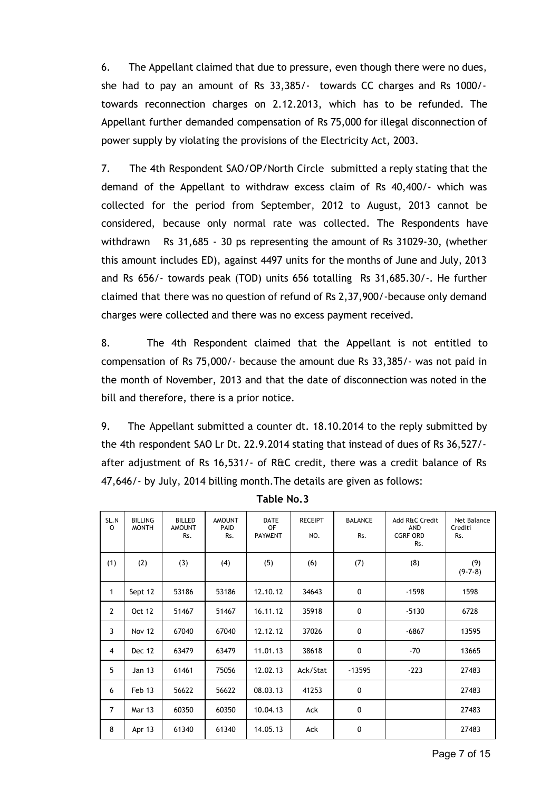6. The Appellant claimed that due to pressure, even though there were no dues, she had to pay an amount of Rs 33,385/- towards CC charges and Rs 1000/ towards reconnection charges on 2.12.2013, which has to be refunded. The Appellant further demanded compensation of Rs 75,000 for illegal disconnection of power supply by violating the provisions of the Electricity Act, 2003.

7. The 4th Respondent SAO/OP/North Circle submitted a reply stating that the demand of the Appellant to withdraw excess claim of Rs 40,400/- which was collected for the period from September, 2012 to August, 2013 cannot be considered, because only normal rate was collected. The Respondents have withdrawn Rs 31,685 - 30 ps representing the amount of Rs 31029-30, (whether this amount includes ED), against 4497 units for the months of June and July, 2013 and Rs 656/- towards peak (TOD) units 656 totalling Rs 31,685.30/-. He further claimed that there was no question of refund of Rs 2,37,900/-because only demand charges were collected and there was no excess payment received.

8. The 4th Respondent claimed that the Appellant is not entitled to compensation of Rs 75,000/- because the amount due Rs 33,385/- was not paid in the month of November, 2013 and that the date of disconnection was noted in the bill and therefore, there is a prior notice.

9. The Appellant submitted a counter dt. 18.10.2014 to the reply submitted by the 4th respondent SAO Lr Dt. 22.9.2014 stating that instead of dues of Rs 36,527/ after adjustment of Rs 16,531/- of R&C credit, there was a credit balance of Rs 47,646/- by July, 2014 billing month.The details are given as follows:

| SL.N<br>0      | <b>BILLING</b><br><b>MONTH</b> | <b>BILLED</b><br><b>AMOUNT</b><br>Rs. | <b>AMOUNT</b><br>PAID<br>Rs. | <b>DATE</b><br><b>OF</b><br><b>PAYMENT</b> | <b>RECEIPT</b><br>NO. | <b>BALANCE</b><br>Rs. | Add R&C Credit<br>AND<br><b>CGRF ORD</b><br>Rs. | Net Balance<br>Crediti<br>Rs. |
|----------------|--------------------------------|---------------------------------------|------------------------------|--------------------------------------------|-----------------------|-----------------------|-------------------------------------------------|-------------------------------|
| (1)            | (2)                            | (3)                                   | (4)                          | (5)                                        | (6)                   | (7)                   | (8)                                             | (9)<br>$(9-7-8)$              |
| 1              | Sept 12                        | 53186                                 | 53186                        | 12.10.12                                   | 34643                 | 0                     | $-1598$                                         | 1598                          |
| $\overline{2}$ | Oct 12                         | 51467                                 | 51467                        | 16.11.12                                   | 35918                 | $\mathbf 0$           | $-5130$                                         | 6728                          |
| 3              | <b>Nov 12</b>                  | 67040                                 | 67040                        | 12.12.12                                   | 37026                 | 0                     | $-6867$                                         | 13595                         |
| 4              | Dec 12                         | 63479                                 | 63479                        | 11.01.13                                   | 38618                 | 0                     | -70                                             | 13665                         |
| 5              | Jan 13                         | 61461                                 | 75056                        | 12.02.13                                   | Ack/Stat              | $-13595$              | $-223$                                          | 27483                         |
| 6              | Feb 13                         | 56622                                 | 56622                        | 08.03.13                                   | 41253                 | 0                     |                                                 | 27483                         |
| $\overline{7}$ | <b>Mar 13</b>                  | 60350                                 | 60350                        | 10.04.13                                   | Ack                   | $\mathbf 0$           |                                                 | 27483                         |
| 8              | Apr 13                         | 61340                                 | 61340                        | 14.05.13                                   | Ack                   | 0                     |                                                 | 27483                         |

**Table No.3**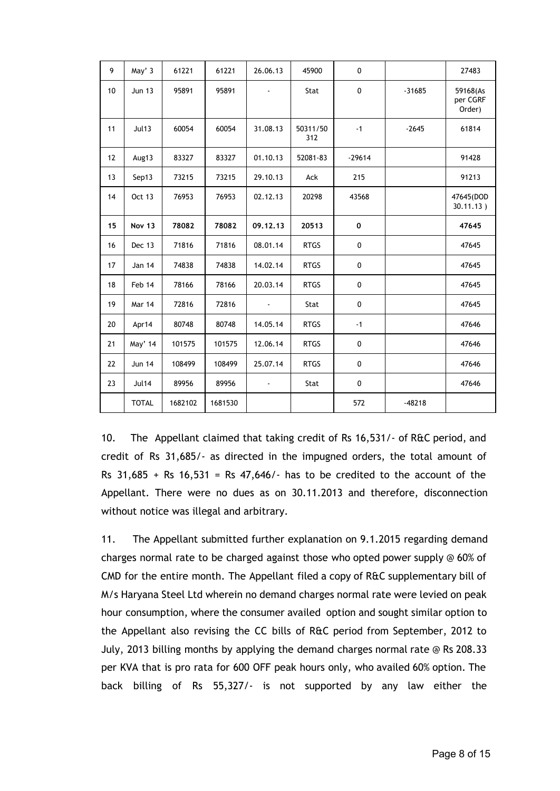| 9  | May' 3            | 61221   | 61221   | 26.06.13 | 45900           | $\mathbf 0$ |          | 27483                          |
|----|-------------------|---------|---------|----------|-----------------|-------------|----------|--------------------------------|
| 10 | <b>Jun 13</b>     | 95891   | 95891   |          | <b>Stat</b>     | 0           | $-31685$ | 59168(As<br>per CGRF<br>Order) |
| 11 | Jul13             | 60054   | 60054   | 31.08.13 | 50311/50<br>312 | $-1$        | $-2645$  | 61814                          |
| 12 | Aug13             | 83327   | 83327   | 01.10.13 | 52081-83        | $-29614$    |          | 91428                          |
| 13 | Sep13             | 73215   | 73215   | 29.10.13 | Ack             | 215         |          | 91213                          |
| 14 | Oct 13            | 76953   | 76953   | 02.12.13 | 20298           | 43568       |          | 47645(DOD<br>30.11.13)         |
| 15 | Nov 13            | 78082   | 78082   | 09.12.13 | 20513           | 0           |          | 47645                          |
| 16 | <b>Dec 13</b>     | 71816   | 71816   | 08.01.14 | <b>RTGS</b>     | $\mathbf 0$ |          | 47645                          |
| 17 | <b>Jan 14</b>     | 74838   | 74838   | 14.02.14 | <b>RTGS</b>     | 0           |          | 47645                          |
| 18 | Feb 14            | 78166   | 78166   | 20.03.14 | <b>RTGS</b>     | 0           |          | 47645                          |
| 19 | Mar 14            | 72816   | 72816   |          | Stat            | $\pmb{0}$   |          | 47645                          |
| 20 | Apr14             | 80748   | 80748   | 14.05.14 | <b>RTGS</b>     | $-1$        |          | 47646                          |
| 21 | May' 14           | 101575  | 101575  | 12.06.14 | <b>RTGS</b>     | $\mathbf 0$ |          | 47646                          |
| 22 | <b>Jun 14</b>     | 108499  | 108499  | 25.07.14 | <b>RTGS</b>     | $\mathbf 0$ |          | 47646                          |
| 23 | Jul <sub>14</sub> | 89956   | 89956   | ä,       | Stat            | 0           |          | 47646                          |
|    | <b>TOTAL</b>      | 1682102 | 1681530 |          |                 | 572         | $-48218$ |                                |

10. The Appellant claimed that taking credit of Rs 16,531/- of R&C period, and credit of Rs 31,685/- as directed in the impugned orders, the total amount of Rs  $31,685 +$  Rs  $16,531 =$  Rs  $47,646/$ - has to be credited to the account of the Appellant. There were no dues as on 30.11.2013 and therefore, disconnection without notice was illegal and arbitrary.

11. The Appellant submitted further explanation on 9.1.2015 regarding demand charges normal rate to be charged against those who opted power supply @ 60% of CMD for the entire month. The Appellant filed a copy of R&C supplementary bill of M/s Haryana Steel Ltd wherein no demand charges normal rate were levied on peak hour consumption, where the consumer availed option and sought similar option to the Appellant also revising the CC bills of R&C period from September, 2012 to July, 2013 billing months by applying the demand charges normal rate @ Rs 208.33 per KVA that is pro rata for 600 OFF peak hours only, who availed 60% option. The back billing of Rs 55,327/- is not supported by any law either the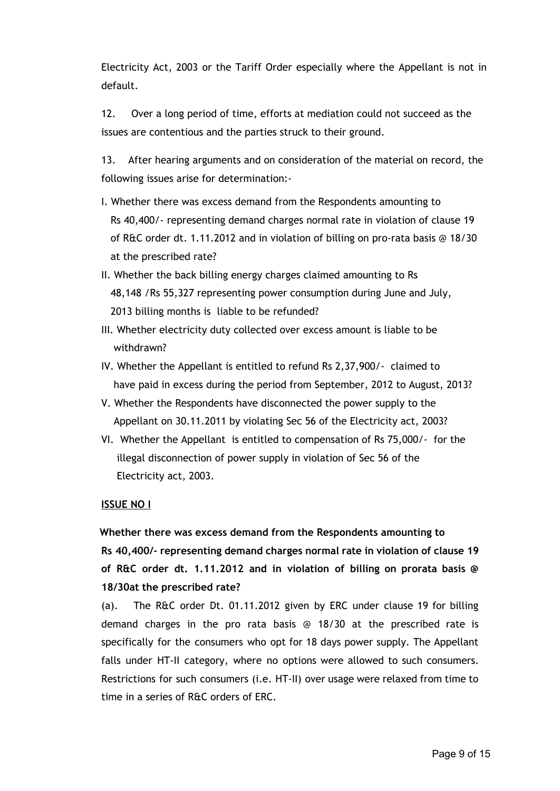Electricity Act, 2003 or the Tariff Order especially where the Appellant is not in default.

12. Over a long period of time, efforts at mediation could not succeed as the issues are contentious and the parties struck to their ground.

13. After hearing arguments and on consideration of the material on record, the following issues arise for determination:-

- I. Whether there was excess demand from the Respondents amounting to Rs 40,400/- representing demand charges normal rate in violation of clause 19 of R&C order dt. 1.11.2012 and in violation of billing on pro-rata basis @ 18/30 at the prescribed rate?
- II. Whether the back billing energy charges claimed amounting to Rs 48,148 /Rs 55,327 representing power consumption during June and July, 2013 billing months is liable to be refunded?
- III. Whether electricity duty collected over excess amount is liable to be withdrawn?
- IV. Whether the Appellant is entitled to refund Rs 2,37,900/- claimed to have paid in excess during the period from September, 2012 to August, 2013?
- V. Whether the Respondents have disconnected the power supply to the Appellant on 30.11.2011 by violating Sec 56 of the Electricity act, 2003?
- VI. Whether the Appellant is entitled to compensation of Rs 75,000/- for the illegal disconnection of power supply in violation of Sec 56 of the Electricity act, 2003.

# **ISSUE NO I**

**Whether there was excess demand from the Respondents amounting to Rs 40,400/- representing demand charges normal rate in violation of clause 19 of R&C order dt. 1.11.2012 and in violation of billing on prorata basis @ 18/30at the prescribed rate?**

(a). The R&C order Dt. 01.11.2012 given by ERC under clause 19 for billing demand charges in the pro rata basis @ 18/30 at the prescribed rate is specifically for the consumers who opt for 18 days power supply. The Appellant falls under HT-II category, where no options were allowed to such consumers. Restrictions for such consumers (i.e. HT-II) over usage were relaxed from time to time in a series of R&C orders of ERC.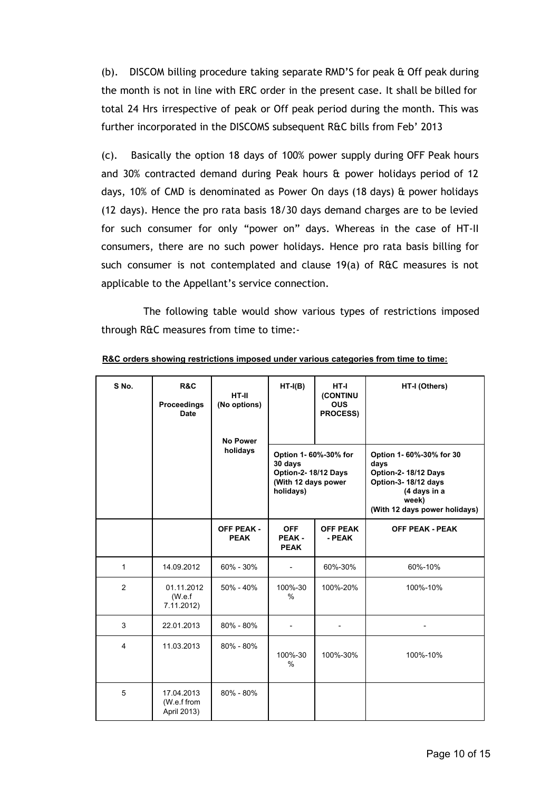(b). DISCOM billing procedure taking separate RMD'S for peak & Off peak during the month is not in line with ERC order in the present case. It shall be billed for total 24 Hrs irrespective of peak or Off peak period during the month. This was further incorporated in the DISCOMS subsequent R&C bills from Feb' 2013

(c). Basically the option 18 days of 100% power supply during OFF Peak hours and 30% contracted demand during Peak hours & power holidays period of 12 days, 10% of CMD is denominated as Power On days (18 days) & power holidays (12 days). Hence the pro rata basis 18/30 days demand charges are to be levied for such consumer for only "power on" days. Whereas in the case of HT-II consumers, there are no such power holidays. Hence pro rata basis billing for such consumer is not contemplated and clause 19(a) of R&C measures is not applicable to the Appellant's service connection.

The following table would show various types of restrictions imposed through R&C measures from time to time:-

| S <sub>No.</sub> | <b>R&amp;C</b><br>Proceedings<br><b>Date</b> | HT-II<br>(No options)<br><b>No Power</b> | $HT-I(B)$                                                                                   | HT-I<br>(CONTINU<br><b>OUS</b><br><b>PROCESS)</b> | HT-I (Others)                                                                                                                           |
|------------------|----------------------------------------------|------------------------------------------|---------------------------------------------------------------------------------------------|---------------------------------------------------|-----------------------------------------------------------------------------------------------------------------------------------------|
|                  |                                              | holidays                                 | Option 1- 60%-30% for<br>30 days<br>Option-2-18/12 Days<br>(With 12 days power<br>holidays) |                                                   | Option 1-60%-30% for 30<br>days<br>Option-2-18/12 Days<br>Option-3-18/12 days<br>(4 days in a<br>week)<br>(With 12 days power holidays) |
|                  |                                              | <b>OFF PEAK -</b><br><b>PEAK</b>         | <b>OFF</b><br>PEAK -<br><b>PEAK</b>                                                         | <b>OFF PEAK</b><br>- PEAK                         | <b>OFF PEAK - PEAK</b>                                                                                                                  |
| 1                | 14.09.2012                                   | 60% - 30%                                |                                                                                             | 60%-30%                                           | 60%-10%                                                                                                                                 |
| 2                | 01.11.2012<br>(W.e.f)<br>7.11.2012)          | $50\% - 40\%$                            | 100%-30<br>$\%$                                                                             | 100%-20%                                          | 100%-10%                                                                                                                                |
| 3                | 22.01.2013                                   | 80% - 80%                                |                                                                                             |                                                   |                                                                                                                                         |
| $\overline{4}$   | 11.03.2013                                   | 80% - 80%                                | 100%-30<br>$\frac{0}{0}$                                                                    | 100%-30%                                          | 100%-10%                                                                                                                                |
| 5                | 17.04.2013<br>(W.e.f from<br>April 2013)     | 80% - 80%                                |                                                                                             |                                                   |                                                                                                                                         |

**R&C orders showing restrictions imposed under various categories from time to time:**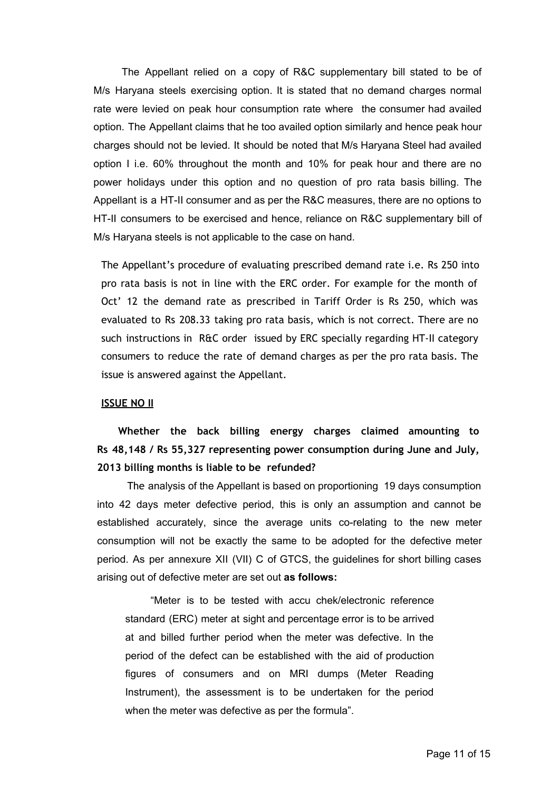The Appellant relied on a copy of R&C supplementary bill stated to be of M/s Haryana steels exercising option. It is stated that no demand charges normal rate were levied on peak hour consumption rate where the consumer had availed option. The Appellant claims that he too availed option similarly and hence peak hour charges should not be levied. It should be noted that M/s Haryana Steel had availed option I i.e. 60% throughout the month and 10% for peak hour and there are no power holidays under this option and no question of pro rata basis billing. The Appellant is a HT-II consumer and as per the R&C measures, there are no options to HT-II consumers to be exercised and hence, reliance on R&C supplementary bill of M/s Haryana steels is not applicable to the case on hand.

The Appellant's procedure of evaluating prescribed demand rate i.e. Rs 250 into pro rata basis is not in line with the ERC order. For example for the month of Oct' 12 the demand rate as prescribed in Tariff Order is Rs 250, which was evaluated to Rs 208.33 taking pro rata basis, which is not correct. There are no such instructions in R&C order issued by ERC specially regarding HT-II category consumers to reduce the rate of demand charges as per the pro rata basis. The issue is answered against the Appellant.

#### **ISSUE NO II**

**Whether the back billing energy charges claimed amounting to Rs 48,148 / Rs 55,327 representing power consumption during June and July, 2013 billing months is liable to be refunded?**

The analysis of the Appellant is based on proportioning 19 days consumption into 42 days meter defective period, this is only an assumption and cannot be established accurately, since the average units co-relating to the new meter consumption will not be exactly the same to be adopted for the defective meter period. As per annexure XII (VII) C of GTCS, the guidelines for short billing cases arising out of defective meter are set out **as follows:**

"Meter is to be tested with accu chek/electronic reference standard (ERC) meter at sight and percentage error is to be arrived at and billed further period when the meter was defective. In the period of the defect can be established with the aid of production figures of consumers and on MRI dumps (Meter Reading Instrument), the assessment is to be undertaken for the period when the meter was defective as per the formula".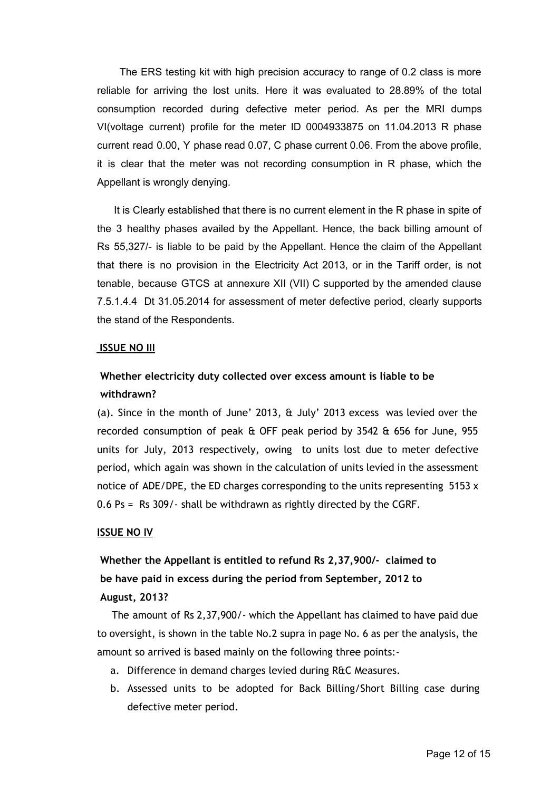The ERS testing kit with high precision accuracy to range of 0.2 class is more reliable for arriving the lost units. Here it was evaluated to 28.89% of the total consumption recorded during defective meter period. As per the MRI dumps VI(voltage current) profile for the meter ID 0004933875 on 11.04.2013 R phase current read 0.00, Y phase read 0.07, C phase current 0.06. From the above profile, it is clear that the meter was not recording consumption in R phase, which the Appellant is wrongly denying.

It is Clearly established that there is no current element in the R phase in spite of the 3 healthy phases availed by the Appellant. Hence, the back billing amount of Rs 55,327/ is liable to be paid by the Appellant. Hence the claim of the Appellant that there is no provision in the Electricity Act 2013, or in the Tariff order, is not tenable, because GTCS at annexure XII (VII) C supported by the amended clause 7.5.1.4.4 Dt 31.05.2014 for assessment of meter defective period, clearly supports the stand of the Respondents.

#### **ISSUE NO III**

# **Whether electricity duty collected over excess amount is liable to be withdrawn?**

(a). Since in the month of June' 2013, & July' 2013 excess was levied over the recorded consumption of peak & OFF peak period by 3542 & 656 for June, 955 units for July, 2013 respectively, owing to units lost due to meter defective period, which again was shown in the calculation of units levied in the assessment notice of ADE/DPE, the ED charges corresponding to the units representing 5153 x 0.6 Ps = Rs 309/- shall be withdrawn as rightly directed by the CGRF.

#### **ISSUE NO IV**

# **Whether the Appellant is entitled to refund Rs 2,37,900/- claimed to be have paid in excess during the period from September, 2012 to August, 2013?**

The amount of Rs 2,37,900/- which the Appellant has claimed to have paid due to oversight, is shown in the table No.2 supra in page No. 6 as per the analysis, the amount so arrived is based mainly on the following three points:-

- a. Difference in demand charges levied during R&C Measures.
- b. Assessed units to be adopted for Back Billing/Short Billing case during defective meter period.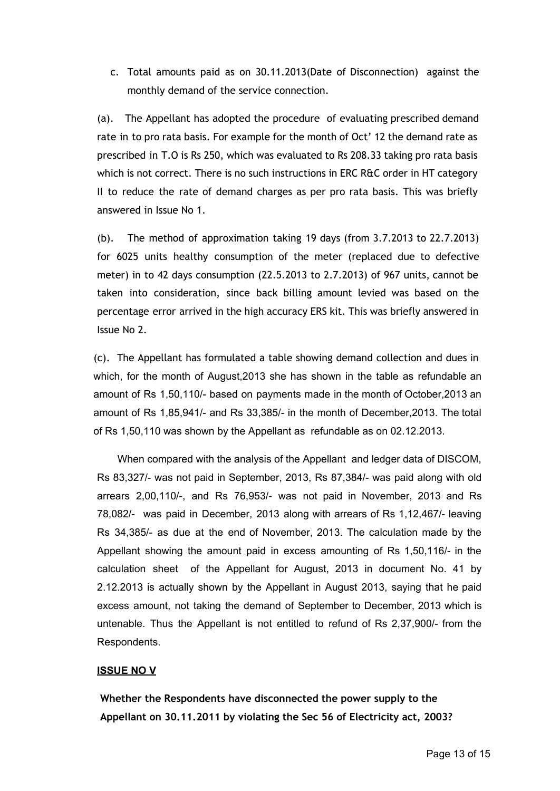c. Total amounts paid as on 30.11.2013(Date of Disconnection) against the monthly demand of the service connection.

(a). The Appellant has adopted the procedure of evaluating prescribed demand rate in to pro rata basis. For example for the month of Oct' 12 the demand rate as prescribed in T.O is Rs 250, which was evaluated to Rs 208.33 taking pro rata basis which is not correct. There is no such instructions in ERC R&C order in HT category II to reduce the rate of demand charges as per pro rata basis. This was briefly answered in Issue No 1.

(b). The method of approximation taking 19 days (from 3.7.2013 to 22.7.2013) for 6025 units healthy consumption of the meter (replaced due to defective meter) in to 42 days consumption (22.5.2013 to 2.7.2013) of 967 units, cannot be taken into consideration, since back billing amount levied was based on the percentage error arrived in the high accuracy ERS kit. This was briefly answered in Issue No 2.

(c). The Appellant has formulated a table showing demand collection and dues in which, for the month of August,2013 she has shown in the table as refundable an amount of Rs 1,50,110/- based on payments made in the month of October, 2013 an amount of Rs 1,85,941/ and Rs 33,385/ in the month of December,2013. The total of Rs 1,50,110 was shown by the Appellant as refundable as on 02.12.2013.

When compared with the analysis of the Appellant and ledger data of DISCOM, Rs 83,327/ was not paid in September, 2013, Rs 87,384/ was paid along with old arrears 2,00,110/, and Rs 76,953/ was not paid in November, 2013 and Rs 78,082/ was paid in December, 2013 along with arrears of Rs 1,12,467/ leaving Rs 34,385/ as due at the end of November, 2013. The calculation made by the Appellant showing the amount paid in excess amounting of Rs 1,50,116/- in the calculation sheet of the Appellant for August, 2013 in document No. 41 by 2.12.2013 is actually shown by the Appellant in August 2013, saying that he paid excess amount, not taking the demand of September to December, 2013 which is untenable. Thus the Appellant is not entitled to refund of Rs 2,37,900/ from the Respondents.

# **ISSUE NO V**

**Whether the Respondents have disconnected the power supply to the Appellant on 30.11.2011 by violating the Sec 56 of Electricity act, 2003?**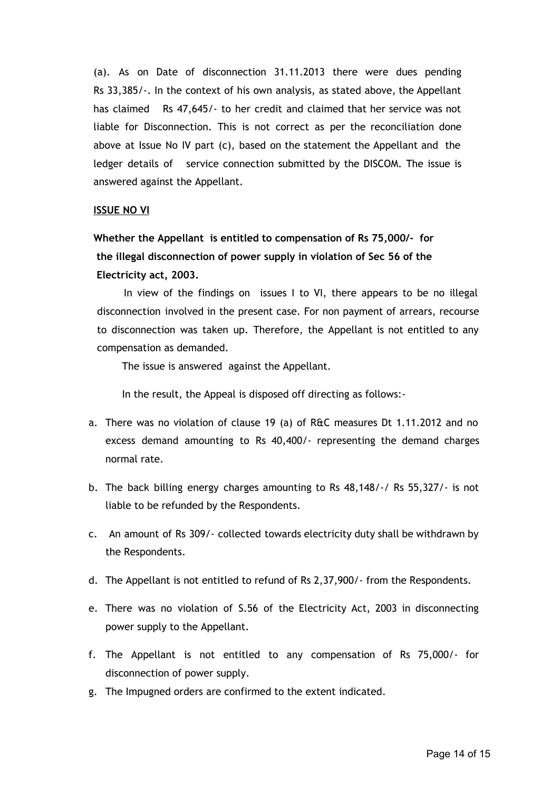(a). As on Date of disconnection 31.11.2013 there were dues pending Rs 33,385/-. In the context of his own analysis, as stated above, the Appellant has claimed Rs 47,645/- to her credit and claimed that her service was not liable for Disconnection. This is not correct as per the reconciliation done above at Issue No IV part (c), based on the statement the Appellant and the ledger details of service connection submitted by the DISCOM. The issue is answered against the Appellant.

#### **ISSUE NO VI**

**Whether the Appellant is entitled to compensation of Rs 75,000/- for the illegal disconnection of power supply in violation of Sec 56 of the Electricity act, 2003.**

In view of the findings on issues I to VI, there appears to be no illegal disconnection involved in the present case. For non payment of arrears, recourse to disconnection was taken up. Therefore, the Appellant is not entitled to any compensation as demanded.

The issue is answered against the Appellant.

In the result, the Appeal is disposed off directing as follows:-

- a. There was no violation of clause 19 (a) of R&C measures Dt 1.11.2012 and no excess demand amounting to Rs 40,400/- representing the demand charges normal rate.
- b. The back billing energy charges amounting to Rs 48,148/-/ Rs 55,327/- is not liable to be refunded by the Respondents.
- c. An amount of Rs 309/- collected towards electricity duty shall be withdrawn by the Respondents.
- d. The Appellant is not entitled to refund of Rs 2,37,900/- from the Respondents.
- e. There was no violation of S.56 of the Electricity Act, 2003 in disconnecting power supply to the Appellant.
- f. The Appellant is not entitled to any compensation of Rs 75,000/- for disconnection of power supply.
- g. The Impugned orders are confirmed to the extent indicated.